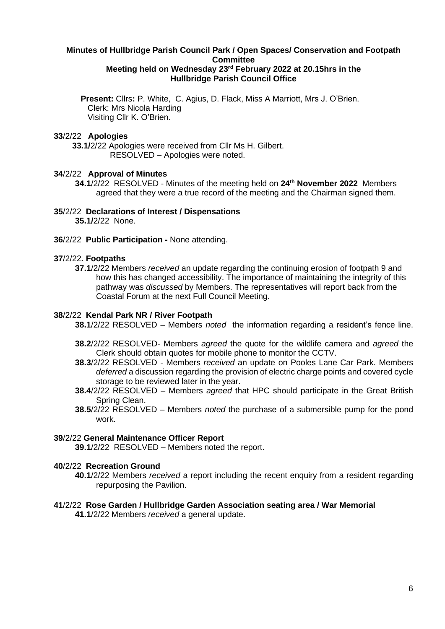# **Minutes of Hullbridge Parish Council Park / Open Spaces/ Conservation and Footpath Committee Meeting held on Wednesday 23 rd February 2022 at 20.15hrs in the Hullbridge Parish Council Office**

**Present:** Cllrs**:** P. White, C. Agius, D. Flack, Miss A Marriott, Mrs J. O'Brien. Clerk: Mrs Nicola Harding Visiting Cllr K. O'Brien.

### **33**/2/22 **Apologies**

 **33.1/**2/22 Apologies were received from Cllr Ms H. Gilbert. RESOLVED – Apologies were noted.

#### **34**/2/22 **Approval of Minutes**

**34.1**/2/22 RESOLVED - Minutes of the meeting held on **24th November 2022** Members agreed that they were a true record of the meeting and the Chairman signed them.

### **35**/2/22 **Declarations of Interest / Dispensations**

**35.1/**2/22 None.

**36**/2/22 **Public Participation -** None attending.

### **37**/2/22**. Footpaths**

**37.1**/2/22 Members *received* an update regarding the continuing erosion of footpath 9 and how this has changed accessibility. The importance of maintaining the integrity of this pathway was *discussed* by Members. The representatives will report back from the Coastal Forum at the next Full Council Meeting.

#### **38**/2/22 **Kendal Park NR / River Footpath**

- **38.1**/2/22 RESOLVED Members *noted* the information regarding a resident's fence line.
- **38.2**/2/22 RESOLVED- Members *agreed* the quote for the wildlife camera and *agreed* the Clerk should obtain quotes for mobile phone to monitor the CCTV.
- **38.3**/2/22 RESOLVED Members *received* an update on Pooles Lane Car Park. Members *deferred* a discussion regarding the provision of electric charge points and covered cycle storage to be reviewed later in the year.
- **38.4**/2/22 RESOLVED Members *agreed* that HPC should participate in the Great British Spring Clean.
- **38.5**/2/22 RESOLVED Members *noted* the purchase of a submersible pump for the pond work.

#### **39**/2/22 **General Maintenance Officer Report**

**39.1**/2/22 RESOLVED – Members noted the report.

# **40**/2/22 **Recreation Ground**

**40.1**/2/22 Members *received* a report including the recent enquiry from a resident regarding repurposing the Pavilion.

# **41**/2/22 **Rose Garden / Hullbridge Garden Association seating area / War Memorial**

**41.1**/2/22 Members *received* a general update.